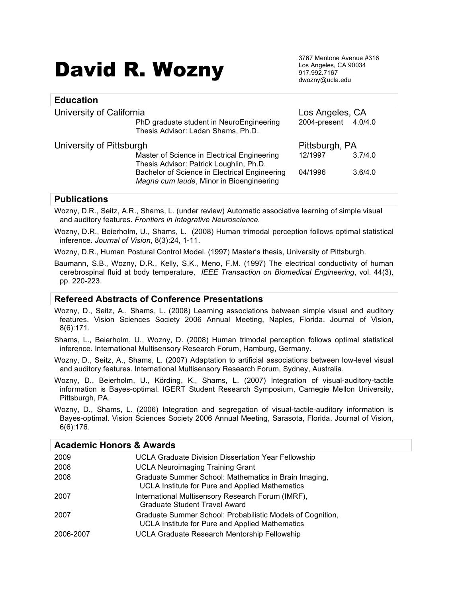# David R. Wozny

3767 Mentone Avenue #316 Los Angeles, CA 90034 917.992.7167 dwozny@ucla.edu

| <b>Education</b>         |                                                                                                                                                                                     |                                         |                    |
|--------------------------|-------------------------------------------------------------------------------------------------------------------------------------------------------------------------------------|-----------------------------------------|--------------------|
| University of California | PhD graduate student in NeuroEngineering<br>Thesis Advisor: Ladan Shams, Ph.D.                                                                                                      | Los Angeles, CA<br>2004-present 4.0/4.0 |                    |
| University of Pittsburgh | Master of Science in Electrical Engineering<br>Thesis Advisor: Patrick Loughlin, Ph.D.<br>Bachelor of Science in Electrical Engineering<br>Magna cum laude, Minor in Bioengineering | Pittsburgh, PA<br>12/1997<br>04/1996    | 3.7/4.0<br>3.6/4.0 |

# **Publications**

Wozny, D.R., Seitz, A.R., Shams, L. (under review) Automatic associative learning of simple visual and auditory features. *Frontiers in Integrative Neuroscience*.

Wozny, D.R., Beierholm, U., Shams, L. (2008) Human trimodal perception follows optimal statistical inference. *Journal of Vision*, 8(3):24, 1-11.

Wozny, D.R., Human Postural Control Model. (1997) Master's thesis, University of Pittsburgh.

Baumann, S.B., Wozny, D.R., Kelly, S.K., Meno, F.M. (1997) The electrical conductivity of human cerebrospinal fluid at body temperature, *IEEE Transaction on Biomedical Engineering*, vol. 44(3), pp. 220-223.

### **Refereed Abstracts of Conference Presentations**

Wozny, D., Seitz, A., Shams, L. (2008) Learning associations between simple visual and auditory features. Vision Sciences Society 2006 Annual Meeting, Naples, Florida. Journal of Vision, 8(6):171.

Shams, L., Beierholm, U., Wozny, D. (2008) Human trimodal perception follows optimal statistical inference. International Multisensory Research Forum, Hamburg, Germany.

Wozny, D., Seitz, A., Shams, L. (2007) Adaptation to artificial associations between low-level visual and auditory features. International Multisensory Research Forum, Sydney, Australia.

Wozny, D., Beierholm, U., Körding, K., Shams, L. (2007) Integration of visual-auditory-tactile information is Bayes-optimal. IGERT Student Research Symposium, Carnegie Mellon University, Pittsburgh, PA.

Wozny, D., Shams, L. (2006) Integration and segregation of visual-tactile-auditory information is Bayes-optimal. Vision Sciences Society 2006 Annual Meeting, Sarasota, Florida. Journal of Vision, 6(6):176.

| <b>Academic Honors &amp; Awards</b> |                                                                                                               |  |
|-------------------------------------|---------------------------------------------------------------------------------------------------------------|--|
| 2009                                | <b>UCLA Graduate Division Dissertation Year Fellowship</b>                                                    |  |
| 2008                                | <b>UCLA Neuroimaging Training Grant</b>                                                                       |  |
| 2008                                | Graduate Summer School: Mathematics in Brain Imaging,<br>UCLA Institute for Pure and Applied Mathematics      |  |
| 2007                                | International Multisensory Research Forum (IMRF),<br>Graduate Student Travel Award                            |  |
| 2007                                | Graduate Summer School: Probabilistic Models of Cognition,<br>UCLA Institute for Pure and Applied Mathematics |  |
| 2006-2007                           | UCLA Graduate Research Mentorship Fellowship                                                                  |  |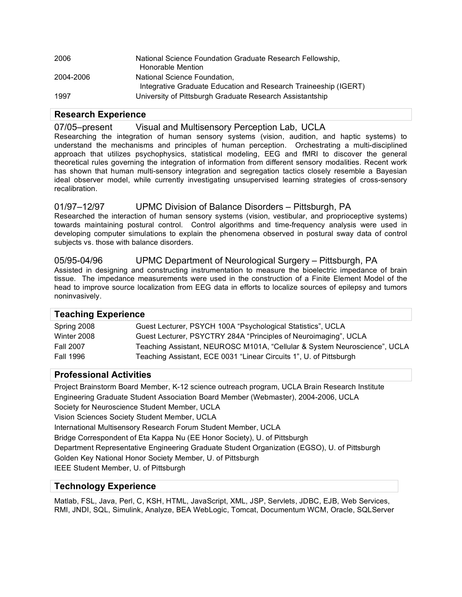| 2006      | National Science Foundation Graduate Research Fellowship,<br>Honorable Mention                  |
|-----------|-------------------------------------------------------------------------------------------------|
| 2004-2006 | National Science Foundation,<br>Integrative Graduate Education and Research Traineeship (IGERT) |
| 1997      | University of Pittsburgh Graduate Research Assistantship                                        |

### **Research Experience**

07/05–present Visual and Multisensory Perception Lab, UCLA

Researching the integration of human sensory systems (vision, audition, and haptic systems) to understand the mechanisms and principles of human perception. Orchestrating a multi-disciplined approach that utilizes psychophysics, statistical modeling, EEG and fMRI to discover the general theoretical rules governing the integration of information from different sensory modalities. Recent work has shown that human multi-sensory integration and segregation tactics closely resemble a Bayesian ideal observer model, while currently investigating unsupervised learning strategies of cross-sensory recalibration.

# 01/97–12/97 UPMC Division of Balance Disorders – Pittsburgh, PA

Researched the interaction of human sensory systems (vision, vestibular, and proprioceptive systems) towards maintaining postural control. Control algorithms and time-frequency analysis were used in developing computer simulations to explain the phenomena observed in postural sway data of control subjects vs. those with balance disorders.

# 05/95-04/96 UPMC Department of Neurological Surgery – Pittsburgh, PA

Assisted in designing and constructing instrumentation to measure the bioelectric impedance of brain tissue. The impedance measurements were used in the construction of a Finite Element Model of the head to improve source localization from EEG data in efforts to localize sources of epilepsy and tumors noninvasively.

| <b>Teaching Experience</b> |                                                                           |  |
|----------------------------|---------------------------------------------------------------------------|--|
| Spring 2008                | Guest Lecturer, PSYCH 100A "Psychological Statistics", UCLA               |  |
| Winter 2008                | Guest Lecturer, PSYCTRY 284A "Principles of Neuroimaging", UCLA           |  |
| <b>Fall 2007</b>           | Teaching Assistant, NEUROSC M101A, "Cellular & System Neuroscience", UCLA |  |
| <b>Fall 1996</b>           | Teaching Assistant, ECE 0031 "Linear Circuits 1", U. of Pittsburgh        |  |

# **Professional Activities**

Project Brainstorm Board Member, K-12 science outreach program, UCLA Brain Research Institute Engineering Graduate Student Association Board Member (Webmaster), 2004-2006, UCLA Society for Neuroscience Student Member, UCLA Vision Sciences Society Student Member, UCLA International Multisensory Research Forum Student Member, UCLA Bridge Correspondent of Eta Kappa Nu (EE Honor Society), U. of Pittsburgh Department Representative Engineering Graduate Student Organization (EGSO), U. of Pittsburgh Golden Key National Honor Society Member, U. of Pittsburgh IEEE Student Member, U. of Pittsburgh

### **Technology Experience**

Matlab, FSL, Java, Perl, C, KSH, HTML, JavaScript, XML, JSP, Servlets, JDBC, EJB, Web Services, RMI, JNDI, SQL, Simulink, Analyze, BEA WebLogic, Tomcat, Documentum WCM, Oracle, SQLServer